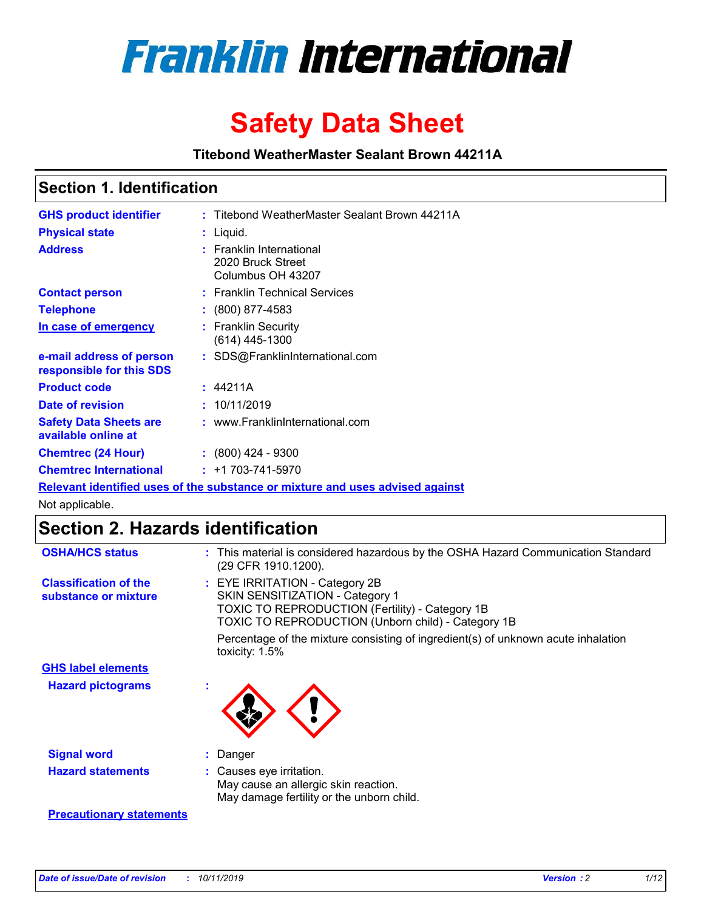

# **Safety Data Sheet**

**Titebond WeatherMaster Sealant Brown 44211A**

### **Section 1. Identification**

| <b>GHS product identifier</b>                                                 | : Titebond WeatherMaster Sealant Brown 44211A                      |  |  |  |
|-------------------------------------------------------------------------------|--------------------------------------------------------------------|--|--|--|
| <b>Physical state</b>                                                         | : Liquid.                                                          |  |  |  |
| <b>Address</b>                                                                | : Franklin International<br>2020 Bruck Street<br>Columbus OH 43207 |  |  |  |
| <b>Contact person</b>                                                         | : Franklin Technical Services                                      |  |  |  |
| <b>Telephone</b>                                                              | $\colon$ (800) 877-4583                                            |  |  |  |
| In case of emergency                                                          | : Franklin Security<br>$(614)$ 445-1300                            |  |  |  |
| e-mail address of person<br>responsible for this SDS                          | : SDS@FranklinInternational.com                                    |  |  |  |
| <b>Product code</b>                                                           | : 44211A                                                           |  |  |  |
| Date of revision                                                              | : 10/11/2019                                                       |  |  |  |
| <b>Safety Data Sheets are</b><br>available online at                          | : www.FranklinInternational.com                                    |  |  |  |
| <b>Chemtrec (24 Hour)</b>                                                     | $: (800)$ 424 - 9300                                               |  |  |  |
| <b>Chemtrec International</b>                                                 | $: +1703 - 741 - 5970$                                             |  |  |  |
| Relevant identified uses of the substance or mixture and uses advised against |                                                                    |  |  |  |

Not applicable.

## **Section 2. Hazards identification**

| <b>OSHA/HCS status</b>                               | : This material is considered hazardous by the OSHA Hazard Communication Standard<br>(29 CFR 1910.1200).                                                                                 |
|------------------------------------------------------|------------------------------------------------------------------------------------------------------------------------------------------------------------------------------------------|
| <b>Classification of the</b><br>substance or mixture | : EYE IRRITATION - Category 2B<br>SKIN SENSITIZATION - Category 1<br><b>TOXIC TO REPRODUCTION (Fertility) - Category 1B</b><br><b>TOXIC TO REPRODUCTION (Unborn child) - Category 1B</b> |
|                                                      | Percentage of the mixture consisting of ingredient(s) of unknown acute inhalation<br>toxicity: $1.5\%$                                                                                   |
| <b>GHS label elements</b>                            |                                                                                                                                                                                          |
| <b>Hazard pictograms</b>                             |                                                                                                                                                                                          |
| <b>Signal word</b>                                   | : Danger                                                                                                                                                                                 |
| <b>Hazard statements</b>                             | : Causes eye irritation.<br>May cause an allergic skin reaction.<br>May damage fertility or the unborn child.                                                                            |
| <b>Precautionary statements</b>                      |                                                                                                                                                                                          |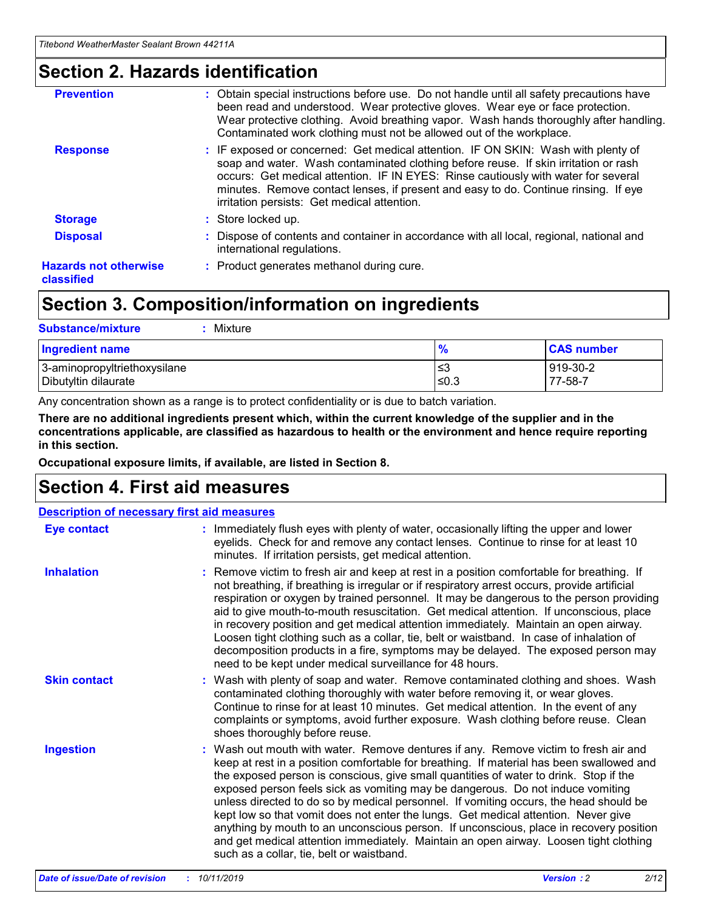### **Section 2. Hazards identification**

| <b>Prevention</b>                          | : Obtain special instructions before use. Do not handle until all safety precautions have<br>been read and understood. Wear protective gloves. Wear eye or face protection.<br>Wear protective clothing. Avoid breathing vapor. Wash hands thoroughly after handling.<br>Contaminated work clothing must not be allowed out of the workplace.                                                        |
|--------------------------------------------|------------------------------------------------------------------------------------------------------------------------------------------------------------------------------------------------------------------------------------------------------------------------------------------------------------------------------------------------------------------------------------------------------|
| <b>Response</b>                            | : IF exposed or concerned: Get medical attention. IF ON SKIN: Wash with plenty of<br>soap and water. Wash contaminated clothing before reuse. If skin irritation or rash<br>occurs: Get medical attention. IF IN EYES: Rinse cautiously with water for several<br>minutes. Remove contact lenses, if present and easy to do. Continue rinsing. If eye<br>irritation persists: Get medical attention. |
| <b>Storage</b>                             | : Store locked up.                                                                                                                                                                                                                                                                                                                                                                                   |
| <b>Disposal</b>                            | : Dispose of contents and container in accordance with all local, regional, national and<br>international regulations.                                                                                                                                                                                                                                                                               |
| <b>Hazards not otherwise</b><br>classified | : Product generates methanol during cure.                                                                                                                                                                                                                                                                                                                                                            |
|                                            |                                                                                                                                                                                                                                                                                                                                                                                                      |

### **Section 3. Composition/information on ingredients**

| <b>Substance/mixture</b><br>: Mixture                |               |                     |
|------------------------------------------------------|---------------|---------------------|
| Ingredient name                                      | $\frac{9}{6}$ | <b>CAS number</b>   |
| 3-aminopropyltriethoxysilane<br>Dibutyltin dilaurate | צ≥<br>≤0.3    | 919-30-2<br>77-58-7 |

Any concentration shown as a range is to protect confidentiality or is due to batch variation.

**There are no additional ingredients present which, within the current knowledge of the supplier and in the concentrations applicable, are classified as hazardous to health or the environment and hence require reporting in this section.**

**Occupational exposure limits, if available, are listed in Section 8.**

### **Section 4. First aid measures**

| <b>Description of necessary first aid measures</b> |                                                                                                                                                                                                                                                                                                                                                                                                                                                                                                                                                                                                                                                                                                                                                                           |  |  |  |
|----------------------------------------------------|---------------------------------------------------------------------------------------------------------------------------------------------------------------------------------------------------------------------------------------------------------------------------------------------------------------------------------------------------------------------------------------------------------------------------------------------------------------------------------------------------------------------------------------------------------------------------------------------------------------------------------------------------------------------------------------------------------------------------------------------------------------------------|--|--|--|
| <b>Eye contact</b>                                 | : Immediately flush eyes with plenty of water, occasionally lifting the upper and lower<br>eyelids. Check for and remove any contact lenses. Continue to rinse for at least 10<br>minutes. If irritation persists, get medical attention.                                                                                                                                                                                                                                                                                                                                                                                                                                                                                                                                 |  |  |  |
| <b>Inhalation</b>                                  | : Remove victim to fresh air and keep at rest in a position comfortable for breathing. If<br>not breathing, if breathing is irregular or if respiratory arrest occurs, provide artificial<br>respiration or oxygen by trained personnel. It may be dangerous to the person providing<br>aid to give mouth-to-mouth resuscitation. Get medical attention. If unconscious, place<br>in recovery position and get medical attention immediately. Maintain an open airway.<br>Loosen tight clothing such as a collar, tie, belt or waistband. In case of inhalation of<br>decomposition products in a fire, symptoms may be delayed. The exposed person may<br>need to be kept under medical surveillance for 48 hours.                                                       |  |  |  |
| <b>Skin contact</b>                                | : Wash with plenty of soap and water. Remove contaminated clothing and shoes. Wash<br>contaminated clothing thoroughly with water before removing it, or wear gloves.<br>Continue to rinse for at least 10 minutes. Get medical attention. In the event of any<br>complaints or symptoms, avoid further exposure. Wash clothing before reuse. Clean<br>shoes thoroughly before reuse.                                                                                                                                                                                                                                                                                                                                                                                     |  |  |  |
| <b>Ingestion</b>                                   | : Wash out mouth with water. Remove dentures if any. Remove victim to fresh air and<br>keep at rest in a position comfortable for breathing. If material has been swallowed and<br>the exposed person is conscious, give small quantities of water to drink. Stop if the<br>exposed person feels sick as vomiting may be dangerous. Do not induce vomiting<br>unless directed to do so by medical personnel. If vomiting occurs, the head should be<br>kept low so that vomit does not enter the lungs. Get medical attention. Never give<br>anything by mouth to an unconscious person. If unconscious, place in recovery position<br>and get medical attention immediately. Maintain an open airway. Loosen tight clothing<br>such as a collar, tie, belt or waistband. |  |  |  |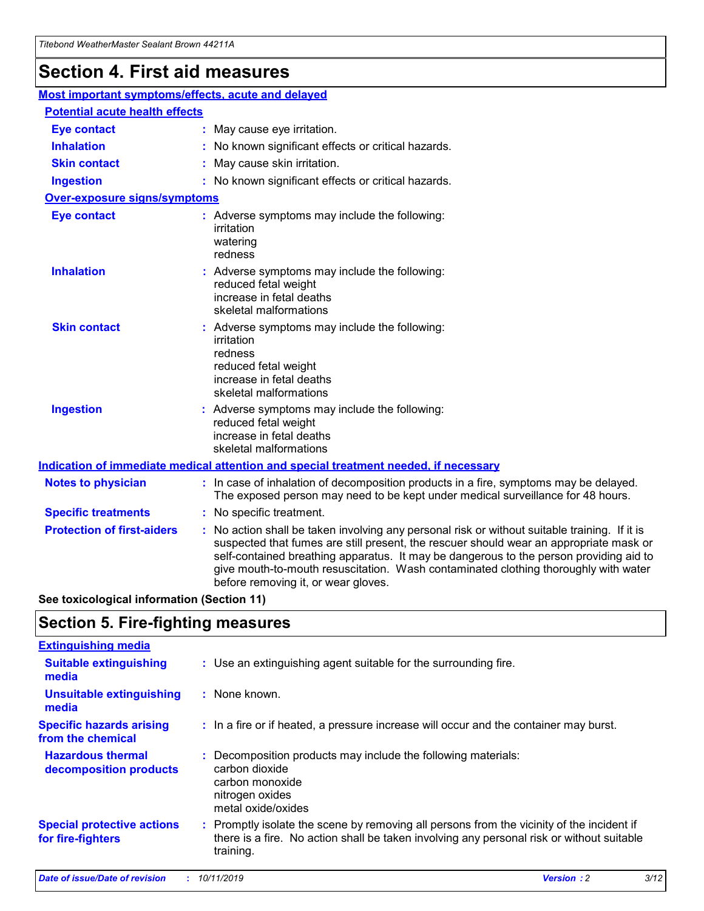## **Section 4. First aid measures**

| Most important symptoms/effects, acute and delayed |  |                                                                                                                                                                                                                                                                                                                                                                                                                 |  |
|----------------------------------------------------|--|-----------------------------------------------------------------------------------------------------------------------------------------------------------------------------------------------------------------------------------------------------------------------------------------------------------------------------------------------------------------------------------------------------------------|--|
| <b>Potential acute health effects</b>              |  |                                                                                                                                                                                                                                                                                                                                                                                                                 |  |
| <b>Eye contact</b>                                 |  | : May cause eye irritation.                                                                                                                                                                                                                                                                                                                                                                                     |  |
| <b>Inhalation</b>                                  |  | : No known significant effects or critical hazards.                                                                                                                                                                                                                                                                                                                                                             |  |
| <b>Skin contact</b>                                |  | : May cause skin irritation.                                                                                                                                                                                                                                                                                                                                                                                    |  |
| <b>Ingestion</b>                                   |  | : No known significant effects or critical hazards.                                                                                                                                                                                                                                                                                                                                                             |  |
| Over-exposure signs/symptoms                       |  |                                                                                                                                                                                                                                                                                                                                                                                                                 |  |
| <b>Eye contact</b>                                 |  | : Adverse symptoms may include the following:<br>irritation<br>watering<br>redness                                                                                                                                                                                                                                                                                                                              |  |
| <b>Inhalation</b>                                  |  | : Adverse symptoms may include the following:<br>reduced fetal weight<br>increase in fetal deaths<br>skeletal malformations                                                                                                                                                                                                                                                                                     |  |
| <b>Skin contact</b>                                |  | : Adverse symptoms may include the following:<br>irritation<br>redness<br>reduced fetal weight<br>increase in fetal deaths<br>skeletal malformations                                                                                                                                                                                                                                                            |  |
| <b>Ingestion</b>                                   |  | : Adverse symptoms may include the following:<br>reduced fetal weight<br>increase in fetal deaths<br>skeletal malformations                                                                                                                                                                                                                                                                                     |  |
|                                                    |  | <b>Indication of immediate medical attention and special treatment needed, if necessary</b>                                                                                                                                                                                                                                                                                                                     |  |
| <b>Notes to physician</b>                          |  | : In case of inhalation of decomposition products in a fire, symptoms may be delayed.<br>The exposed person may need to be kept under medical surveillance for 48 hours.                                                                                                                                                                                                                                        |  |
| <b>Specific treatments</b>                         |  | : No specific treatment.                                                                                                                                                                                                                                                                                                                                                                                        |  |
| <b>Protection of first-aiders</b>                  |  | : No action shall be taken involving any personal risk or without suitable training. If it is<br>suspected that fumes are still present, the rescuer should wear an appropriate mask or<br>self-contained breathing apparatus. It may be dangerous to the person providing aid to<br>give mouth-to-mouth resuscitation. Wash contaminated clothing thoroughly with water<br>before removing it, or wear gloves. |  |

**See toxicological information (Section 11)**

### **Section 5. Fire-fighting measures**

| <b>Extinguishing media</b>                             |                                                                                                                                                                                                     |
|--------------------------------------------------------|-----------------------------------------------------------------------------------------------------------------------------------------------------------------------------------------------------|
| <b>Suitable extinguishing</b><br>media                 | : Use an extinguishing agent suitable for the surrounding fire.                                                                                                                                     |
| <b>Unsuitable extinguishing</b><br>media               | : None known.                                                                                                                                                                                       |
| <b>Specific hazards arising</b><br>from the chemical   | : In a fire or if heated, a pressure increase will occur and the container may burst.                                                                                                               |
| <b>Hazardous thermal</b><br>decomposition products     | : Decomposition products may include the following materials:<br>carbon dioxide<br>carbon monoxide<br>nitrogen oxides<br>metal oxide/oxides                                                         |
| <b>Special protective actions</b><br>for fire-fighters | : Promptly isolate the scene by removing all persons from the vicinity of the incident if<br>there is a fire. No action shall be taken involving any personal risk or without suitable<br>training. |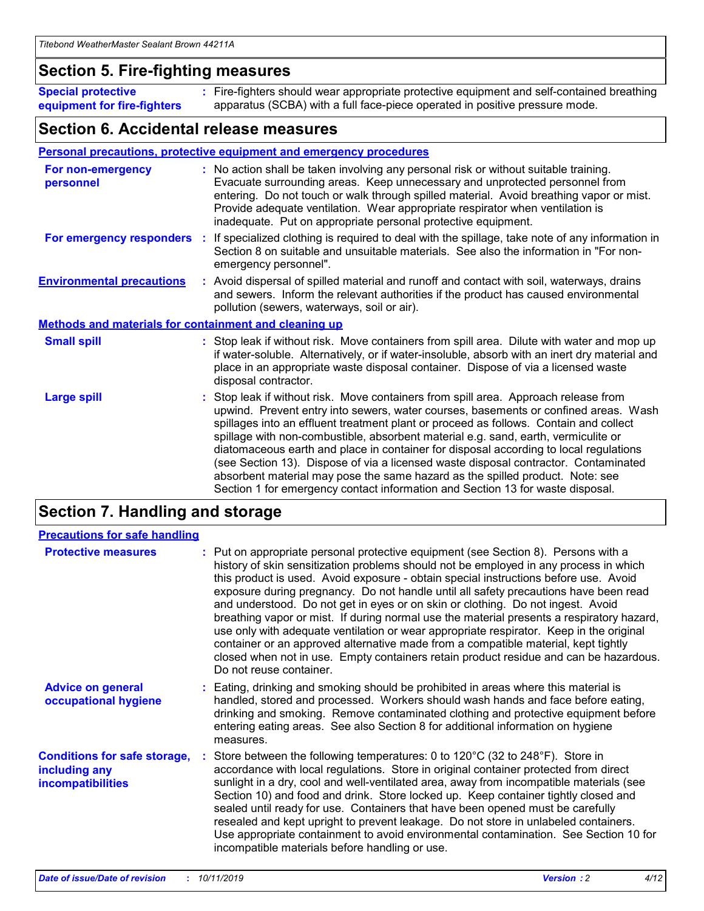### **Section 5. Fire-fighting measures**

**Special protective equipment for fire-fighters** Fire-fighters should wear appropriate protective equipment and self-contained breathing **:** apparatus (SCBA) with a full face-piece operated in positive pressure mode.

### **Section 6. Accidental release measures**

#### **Personal precautions, protective equipment and emergency procedures**

| For non-emergency<br>personnel                               | : No action shall be taken involving any personal risk or without suitable training.<br>Evacuate surrounding areas. Keep unnecessary and unprotected personnel from<br>entering. Do not touch or walk through spilled material. Avoid breathing vapor or mist.<br>Provide adequate ventilation. Wear appropriate respirator when ventilation is<br>inadequate. Put on appropriate personal protective equipment.                                                                                                                                                                                                                                                                                             |
|--------------------------------------------------------------|--------------------------------------------------------------------------------------------------------------------------------------------------------------------------------------------------------------------------------------------------------------------------------------------------------------------------------------------------------------------------------------------------------------------------------------------------------------------------------------------------------------------------------------------------------------------------------------------------------------------------------------------------------------------------------------------------------------|
| For emergency responders                                     | : If specialized clothing is required to deal with the spillage, take note of any information in<br>Section 8 on suitable and unsuitable materials. See also the information in "For non-<br>emergency personnel".                                                                                                                                                                                                                                                                                                                                                                                                                                                                                           |
| <b>Environmental precautions</b>                             | : Avoid dispersal of spilled material and runoff and contact with soil, waterways, drains<br>and sewers. Inform the relevant authorities if the product has caused environmental<br>pollution (sewers, waterways, soil or air).                                                                                                                                                                                                                                                                                                                                                                                                                                                                              |
| <b>Methods and materials for containment and cleaning up</b> |                                                                                                                                                                                                                                                                                                                                                                                                                                                                                                                                                                                                                                                                                                              |
| <b>Small spill</b>                                           | : Stop leak if without risk. Move containers from spill area. Dilute with water and mop up<br>if water-soluble. Alternatively, or if water-insoluble, absorb with an inert dry material and<br>place in an appropriate waste disposal container. Dispose of via a licensed waste<br>disposal contractor.                                                                                                                                                                                                                                                                                                                                                                                                     |
| <b>Large spill</b>                                           | : Stop leak if without risk. Move containers from spill area. Approach release from<br>upwind. Prevent entry into sewers, water courses, basements or confined areas. Wash<br>spillages into an effluent treatment plant or proceed as follows. Contain and collect<br>spillage with non-combustible, absorbent material e.g. sand, earth, vermiculite or<br>diatomaceous earth and place in container for disposal according to local regulations<br>(see Section 13). Dispose of via a licensed waste disposal contractor. Contaminated<br>absorbent material may pose the same hazard as the spilled product. Note: see<br>Section 1 for emergency contact information and Section 13 for waste disposal. |

### **Section 7. Handling and storage**

| <b>Precautions for safe handling</b>                                             |                                                                                                                                                                                                                                                                                                                                                                                                                                                                                                                                                                                                                                                                                                                                                                                                                                                  |
|----------------------------------------------------------------------------------|--------------------------------------------------------------------------------------------------------------------------------------------------------------------------------------------------------------------------------------------------------------------------------------------------------------------------------------------------------------------------------------------------------------------------------------------------------------------------------------------------------------------------------------------------------------------------------------------------------------------------------------------------------------------------------------------------------------------------------------------------------------------------------------------------------------------------------------------------|
| <b>Protective measures</b>                                                       | : Put on appropriate personal protective equipment (see Section 8). Persons with a<br>history of skin sensitization problems should not be employed in any process in which<br>this product is used. Avoid exposure - obtain special instructions before use. Avoid<br>exposure during pregnancy. Do not handle until all safety precautions have been read<br>and understood. Do not get in eyes or on skin or clothing. Do not ingest. Avoid<br>breathing vapor or mist. If during normal use the material presents a respiratory hazard,<br>use only with adequate ventilation or wear appropriate respirator. Keep in the original<br>container or an approved alternative made from a compatible material, kept tightly<br>closed when not in use. Empty containers retain product residue and can be hazardous.<br>Do not reuse container. |
| <b>Advice on general</b><br>occupational hygiene                                 | : Eating, drinking and smoking should be prohibited in areas where this material is<br>handled, stored and processed. Workers should wash hands and face before eating,<br>drinking and smoking. Remove contaminated clothing and protective equipment before<br>entering eating areas. See also Section 8 for additional information on hygiene<br>measures.                                                                                                                                                                                                                                                                                                                                                                                                                                                                                    |
| <b>Conditions for safe storage,</b><br>including any<br><b>incompatibilities</b> | Store between the following temperatures: 0 to 120°C (32 to 248°F). Store in<br>accordance with local regulations. Store in original container protected from direct<br>sunlight in a dry, cool and well-ventilated area, away from incompatible materials (see<br>Section 10) and food and drink. Store locked up. Keep container tightly closed and<br>sealed until ready for use. Containers that have been opened must be carefully<br>resealed and kept upright to prevent leakage. Do not store in unlabeled containers.<br>Use appropriate containment to avoid environmental contamination. See Section 10 for<br>incompatible materials before handling or use.                                                                                                                                                                         |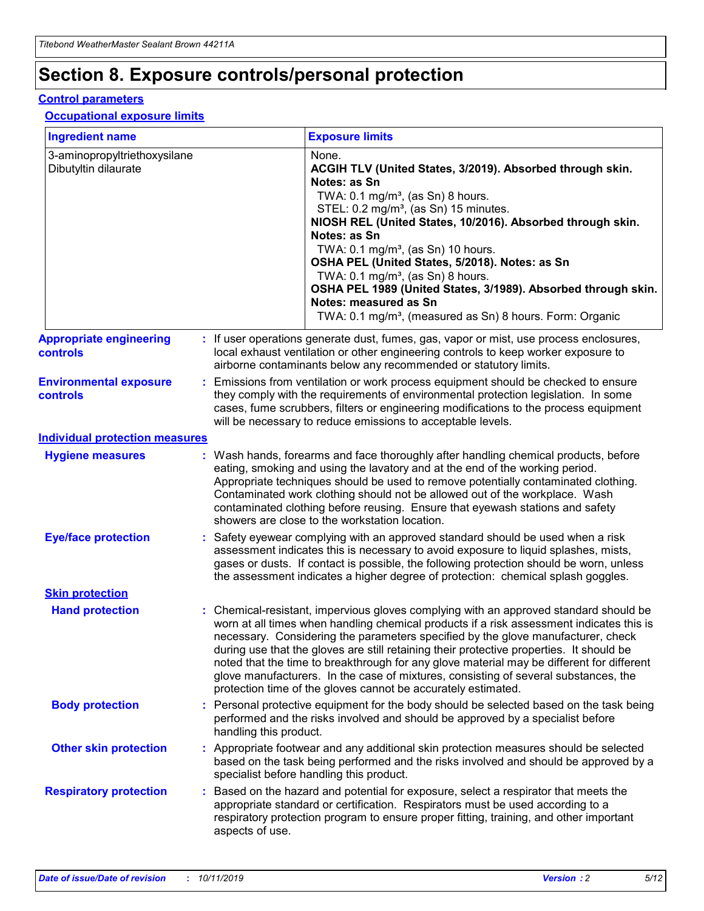## **Section 8. Exposure controls/personal protection**

#### **Control parameters**

### **Occupational exposure limits**

| <b>Ingredient name</b>                               |    |                        | <b>Exposure limits</b>                                                                                                                                                                                                                                                                                                                                                                                                                                                                                                                                                                                                 |
|------------------------------------------------------|----|------------------------|------------------------------------------------------------------------------------------------------------------------------------------------------------------------------------------------------------------------------------------------------------------------------------------------------------------------------------------------------------------------------------------------------------------------------------------------------------------------------------------------------------------------------------------------------------------------------------------------------------------------|
| 3-aminopropyltriethoxysilane<br>Dibutyltin dilaurate |    |                        | None.<br>ACGIH TLV (United States, 3/2019). Absorbed through skin.<br>Notes: as Sn<br>TWA: $0.1 \text{ mg/m}^3$ , (as Sn) 8 hours.<br>STEL: 0.2 mg/m <sup>3</sup> , (as Sn) 15 minutes.<br>NIOSH REL (United States, 10/2016). Absorbed through skin.<br>Notes: as Sn<br>TWA: 0.1 mg/m <sup>3</sup> , (as Sn) 10 hours.<br>OSHA PEL (United States, 5/2018). Notes: as Sn<br>TWA: 0.1 mg/m <sup>3</sup> , (as Sn) 8 hours.<br>OSHA PEL 1989 (United States, 3/1989). Absorbed through skin.<br>Notes: measured as Sn<br>TWA: 0.1 mg/m <sup>3</sup> , (measured as Sn) 8 hours. Form: Organic                           |
| <b>Appropriate engineering</b><br>controls           |    |                        | : If user operations generate dust, fumes, gas, vapor or mist, use process enclosures,<br>local exhaust ventilation or other engineering controls to keep worker exposure to<br>airborne contaminants below any recommended or statutory limits.                                                                                                                                                                                                                                                                                                                                                                       |
| <b>Environmental exposure</b><br>controls            |    |                        | Emissions from ventilation or work process equipment should be checked to ensure<br>they comply with the requirements of environmental protection legislation. In some<br>cases, fume scrubbers, filters or engineering modifications to the process equipment<br>will be necessary to reduce emissions to acceptable levels.                                                                                                                                                                                                                                                                                          |
| <b>Individual protection measures</b>                |    |                        |                                                                                                                                                                                                                                                                                                                                                                                                                                                                                                                                                                                                                        |
| <b>Hygiene measures</b>                              |    |                        | : Wash hands, forearms and face thoroughly after handling chemical products, before<br>eating, smoking and using the lavatory and at the end of the working period.<br>Appropriate techniques should be used to remove potentially contaminated clothing.<br>Contaminated work clothing should not be allowed out of the workplace. Wash<br>contaminated clothing before reusing. Ensure that eyewash stations and safety<br>showers are close to the workstation location.                                                                                                                                            |
| <b>Eye/face protection</b>                           |    |                        | Safety eyewear complying with an approved standard should be used when a risk<br>assessment indicates this is necessary to avoid exposure to liquid splashes, mists,<br>gases or dusts. If contact is possible, the following protection should be worn, unless<br>the assessment indicates a higher degree of protection: chemical splash goggles.                                                                                                                                                                                                                                                                    |
| <b>Skin protection</b>                               |    |                        |                                                                                                                                                                                                                                                                                                                                                                                                                                                                                                                                                                                                                        |
| <b>Hand protection</b>                               |    |                        | : Chemical-resistant, impervious gloves complying with an approved standard should be<br>worn at all times when handling chemical products if a risk assessment indicates this is<br>necessary. Considering the parameters specified by the glove manufacturer, check<br>during use that the gloves are still retaining their protective properties. It should be<br>noted that the time to breakthrough for any glove material may be different for different<br>glove manufacturers. In the case of mixtures, consisting of several substances, the<br>protection time of the gloves cannot be accurately estimated. |
| <b>Body protection</b>                               |    | handling this product. | Personal protective equipment for the body should be selected based on the task being<br>performed and the risks involved and should be approved by a specialist before                                                                                                                                                                                                                                                                                                                                                                                                                                                |
| <b>Other skin protection</b>                         |    |                        | : Appropriate footwear and any additional skin protection measures should be selected<br>based on the task being performed and the risks involved and should be approved by a<br>specialist before handling this product.                                                                                                                                                                                                                                                                                                                                                                                              |
| <b>Respiratory protection</b>                        | ÷. | aspects of use.        | Based on the hazard and potential for exposure, select a respirator that meets the<br>appropriate standard or certification. Respirators must be used according to a<br>respiratory protection program to ensure proper fitting, training, and other important                                                                                                                                                                                                                                                                                                                                                         |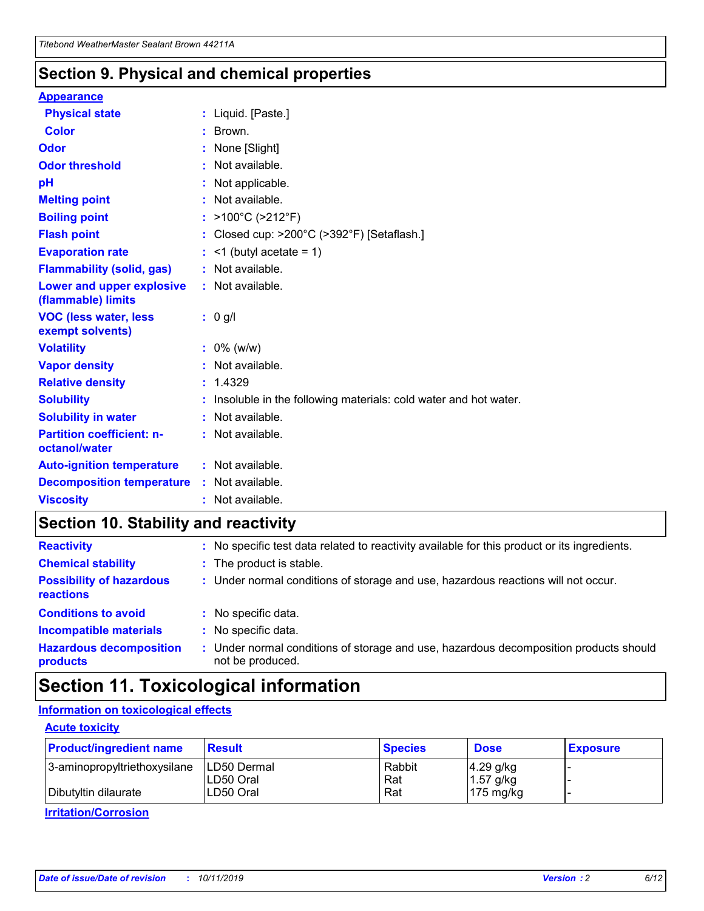### **Section 9. Physical and chemical properties**

#### **Appearance**

| <b>Physical state</b>                             | : Liquid. [Paste.]                                              |
|---------------------------------------------------|-----------------------------------------------------------------|
| Color                                             | Brown.                                                          |
| Odor                                              | None [Slight]                                                   |
| <b>Odor threshold</b>                             | $:$ Not available.                                              |
| рH                                                | : Not applicable.                                               |
| <b>Melting point</b>                              | : Not available.                                                |
| <b>Boiling point</b>                              | : >100°C (>212°F)                                               |
| <b>Flash point</b>                                | : Closed cup: $>200^{\circ}$ C ( $>392^{\circ}$ F) [Setaflash.] |
| <b>Evaporation rate</b>                           | $:$ <1 (butyl acetate = 1)                                      |
| <b>Flammability (solid, gas)</b>                  | : Not available.                                                |
| Lower and upper explosive<br>(flammable) limits   | $:$ Not available.                                              |
| <b>VOC (less water, less</b><br>exempt solvents)  | : 0 g/l                                                         |
| <b>Volatility</b>                                 | $: 0\%$ (w/w)                                                   |
| <b>Vapor density</b>                              | : Not available.                                                |
| <b>Relative density</b>                           |                                                                 |
|                                                   | : 1.4329                                                        |
| <b>Solubility</b>                                 | Insoluble in the following materials: cold water and hot water. |
| <b>Solubility in water</b>                        | : Not available.                                                |
| <b>Partition coefficient: n-</b><br>octanol/water | $:$ Not available.                                              |
| <b>Auto-ignition temperature</b>                  | $:$ Not available.                                              |
| <b>Decomposition temperature</b>                  | : Not available.                                                |

### **Section 10. Stability and reactivity**

| <b>Reactivity</b>                            | : No specific test data related to reactivity available for this product or its ingredients.            |
|----------------------------------------------|---------------------------------------------------------------------------------------------------------|
| <b>Chemical stability</b>                    | : The product is stable.                                                                                |
| <b>Possibility of hazardous</b><br>reactions | : Under normal conditions of storage and use, hazardous reactions will not occur.                       |
| <b>Conditions to avoid</b>                   | : No specific data.                                                                                     |
| <b>Incompatible materials</b>                | : No specific data.                                                                                     |
| <b>Hazardous decomposition</b><br>products   | Under normal conditions of storage and use, hazardous decomposition products should<br>not be produced. |

### **Section 11. Toxicological information**

### **Information on toxicological effects**

### **Acute toxicity**

| <b>Product/ingredient name</b> | <b>Result</b>           | <b>Species</b> | <b>Dose</b>                | <b>Exposure</b> |
|--------------------------------|-------------------------|----------------|----------------------------|-----------------|
| 3-aminopropyltriethoxysilane   | <b>ILD50 Dermal</b>     | Rabbit         | 4.29 g/kg                  |                 |
| Dibutyltin dilaurate           | ILD50 Oral<br>LD50 Oral | Rat<br>Rat     | $1.57$ g/kg<br>175 $mg/kg$ |                 |
|                                |                         |                |                            |                 |

**Irritation/Corrosion**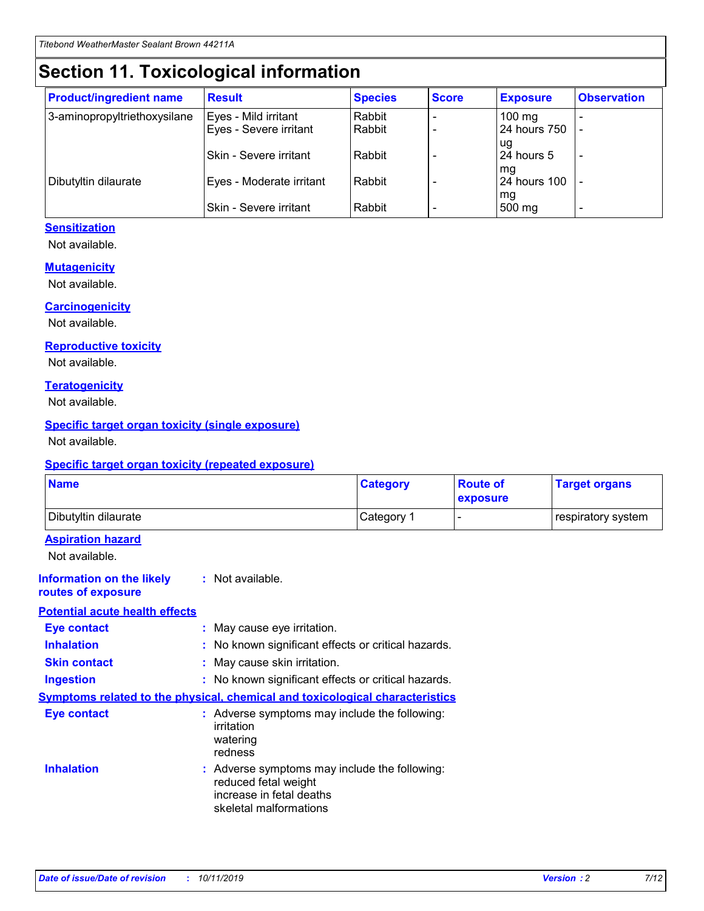## **Section 11. Toxicological information**

| <b>Product/ingredient name</b> | <b>Result</b>            | <b>Species</b> | <b>Score</b> | <b>Exposure</b>           | <b>Observation</b> |
|--------------------------------|--------------------------|----------------|--------------|---------------------------|--------------------|
| 3-aminopropyltriethoxysilane   | Eyes - Mild irritant     | Rabbit         |              | $100$ mg                  |                    |
|                                | Eyes - Severe irritant   | Rabbit         |              | 24 hours 750              |                    |
|                                |                          |                |              | ug                        |                    |
|                                | Skin - Severe irritant   | Rabbit         |              | 24 hours 5                | -                  |
| Dibutyltin dilaurate           | Eyes - Moderate irritant | Rabbit         |              | mg<br><b>24 hours 100</b> |                    |
|                                |                          |                |              | mg                        |                    |
|                                | Skin - Severe irritant   | Rabbit         |              | 500 mg                    | -                  |

### **Sensitization**

Not available.

#### **Mutagenicity**

Not available.

#### **Carcinogenicity**

Not available.

#### **Reproductive toxicity**

Not available.

#### **Teratogenicity**

Not available.

#### **Specific target organ toxicity (single exposure)**

Not available.

#### **Specific target organ toxicity (repeated exposure)**

| <b>Name</b>                                                                  |                                                                            | <b>Category</b>                                     | <b>Route of</b><br>exposure | <b>Target organs</b> |
|------------------------------------------------------------------------------|----------------------------------------------------------------------------|-----------------------------------------------------|-----------------------------|----------------------|
| Dibutyltin dilaurate                                                         |                                                                            | Category 1                                          | -                           | respiratory system   |
| <b>Aspiration hazard</b><br>Not available.                                   |                                                                            |                                                     |                             |                      |
| <b>Information on the likely</b><br>routes of exposure                       | : Not available.                                                           |                                                     |                             |                      |
| <b>Potential acute health effects</b>                                        |                                                                            |                                                     |                             |                      |
| <b>Eye contact</b>                                                           | : May cause eye irritation.                                                |                                                     |                             |                      |
| <b>Inhalation</b>                                                            |                                                                            | : No known significant effects or critical hazards. |                             |                      |
| <b>Skin contact</b>                                                          | : May cause skin irritation.                                               |                                                     |                             |                      |
| <b>Ingestion</b>                                                             |                                                                            | : No known significant effects or critical hazards. |                             |                      |
| Symptoms related to the physical, chemical and toxicological characteristics |                                                                            |                                                     |                             |                      |
| <b>Eye contact</b>                                                           | irritation<br>watering<br>redness                                          | : Adverse symptoms may include the following:       |                             |                      |
| <b>Inhalation</b>                                                            | reduced fetal weight<br>increase in fetal deaths<br>skeletal malformations | : Adverse symptoms may include the following:       |                             |                      |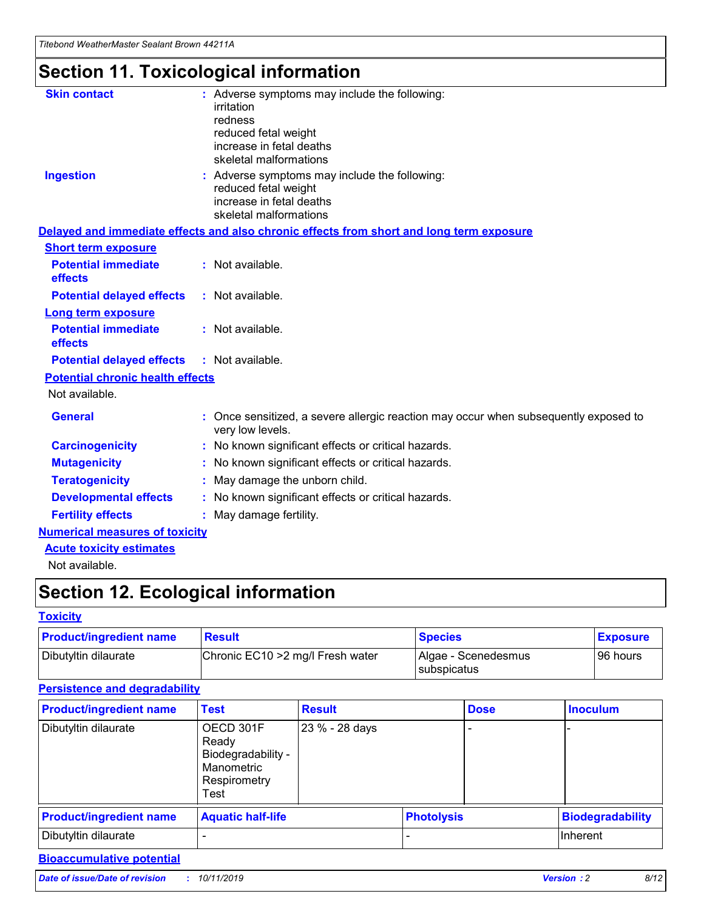*Titebond WeatherMaster Sealant Brown 44211A*

## **Section 11. Toxicological information**

| <b>Skin contact</b>                     | : Adverse symptoms may include the following:<br>irritation<br>redness<br>reduced fetal weight<br>increase in fetal deaths<br>skeletal malformations |  |
|-----------------------------------------|------------------------------------------------------------------------------------------------------------------------------------------------------|--|
| <b>Ingestion</b>                        | : Adverse symptoms may include the following:<br>reduced fetal weight<br>increase in fetal deaths<br>skeletal malformations                          |  |
|                                         | Delayed and immediate effects and also chronic effects from short and long term exposure                                                             |  |
| <b>Short term exposure</b>              |                                                                                                                                                      |  |
| <b>Potential immediate</b><br>effects   | : Not available.                                                                                                                                     |  |
| <b>Potential delayed effects</b>        | : Not available.                                                                                                                                     |  |
| <b>Long term exposure</b>               |                                                                                                                                                      |  |
| <b>Potential immediate</b><br>effects   | : Not available.                                                                                                                                     |  |
| <b>Potential delayed effects</b>        | : Not available.                                                                                                                                     |  |
| <b>Potential chronic health effects</b> |                                                                                                                                                      |  |
| Not available.                          |                                                                                                                                                      |  |
| <b>General</b>                          | : Once sensitized, a severe allergic reaction may occur when subsequently exposed to<br>very low levels.                                             |  |
| <b>Carcinogenicity</b>                  | : No known significant effects or critical hazards.                                                                                                  |  |
| <b>Mutagenicity</b>                     | : No known significant effects or critical hazards.                                                                                                  |  |
| <b>Teratogenicity</b>                   | May damage the unborn child.                                                                                                                         |  |
| <b>Developmental effects</b>            | : No known significant effects or critical hazards.                                                                                                  |  |
| <b>Fertility effects</b>                | May damage fertility.                                                                                                                                |  |
| <b>Numerical measures of toxicity</b>   |                                                                                                                                                      |  |
| <b>Acute toxicity estimates</b>         |                                                                                                                                                      |  |
| الملحلة والمستحقق فالمرابط              |                                                                                                                                                      |  |

Not available.

## **Section 12. Ecological information**

#### **Toxicity**

| <b>Product/ingredient name</b> | <b>Result</b>                     | <b>Species</b>                       | <b>Exposure</b> |
|--------------------------------|-----------------------------------|--------------------------------------|-----------------|
| Dibutyltin dilaurate           | Chronic EC10 > 2 mg/l Fresh water | Algae - Scenedesmus<br>I subspicatus | l 96 hours i    |

### **Persistence and degradability**

| <b>Product/ingredient name</b> | <b>Test</b>                                                                    | <b>Result</b>  |                   | <b>Dose</b> | <b>Inoculum</b>         |
|--------------------------------|--------------------------------------------------------------------------------|----------------|-------------------|-------------|-------------------------|
| Dibutyltin dilaurate           | OECD 301F<br>Ready<br>Biodegradability -<br>Manometric<br>Respirometry<br>Test | 23 % - 28 days |                   |             |                         |
| <b>Product/ingredient name</b> | <b>Aquatic half-life</b>                                                       |                | <b>Photolysis</b> |             | <b>Biodegradability</b> |
| Dibutyltin dilaurate           |                                                                                |                |                   |             | Inherent                |

### **Bioaccumulative potential**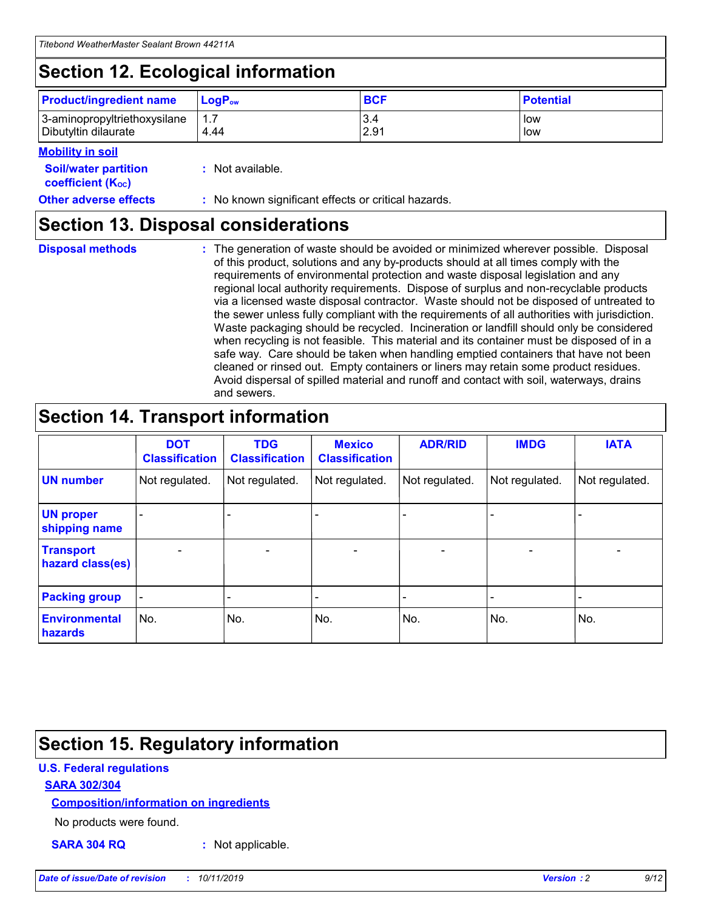## **Section 12. Ecological information**

| <b>Product/ingredient name</b> | $LoaPow$ | <b>BCF</b> | <b>Potential</b> |
|--------------------------------|----------|------------|------------------|
| 3-aminopropyltriethoxysilane   | 1.7      | 3.4        | low              |
| Dibutyltin dilaurate           | 4.44     | 2.91       | low              |

### **Mobility in soil**

| <b>Soil/water partition</b><br>coefficient (K <sub>oc</sub> ) | : Not available.                                    |
|---------------------------------------------------------------|-----------------------------------------------------|
| <b>Other adverse effects</b>                                  | : No known significant effects or critical hazards. |

### **Section 13. Disposal considerations**

**Disposal methods :**

The generation of waste should be avoided or minimized wherever possible. Disposal of this product, solutions and any by-products should at all times comply with the requirements of environmental protection and waste disposal legislation and any regional local authority requirements. Dispose of surplus and non-recyclable products via a licensed waste disposal contractor. Waste should not be disposed of untreated to the sewer unless fully compliant with the requirements of all authorities with jurisdiction. Waste packaging should be recycled. Incineration or landfill should only be considered when recycling is not feasible. This material and its container must be disposed of in a safe way. Care should be taken when handling emptied containers that have not been cleaned or rinsed out. Empty containers or liners may retain some product residues. Avoid dispersal of spilled material and runoff and contact with soil, waterways, drains and sewers.

## **Section 14. Transport information**

|                                      | <b>DOT</b><br><b>Classification</b> | <b>TDG</b><br><b>Classification</b> | <b>Mexico</b><br><b>Classification</b> | <b>ADR/RID</b> | <b>IMDG</b>              | <b>IATA</b>              |
|--------------------------------------|-------------------------------------|-------------------------------------|----------------------------------------|----------------|--------------------------|--------------------------|
| <b>UN number</b>                     | Not regulated.                      | Not regulated.                      | Not regulated.                         | Not regulated. | Not regulated.           | Not regulated.           |
| <b>UN proper</b><br>shipping name    | $\blacksquare$                      |                                     |                                        |                |                          |                          |
| <b>Transport</b><br>hazard class(es) | $\blacksquare$                      | $\overline{\phantom{a}}$            | $\blacksquare$                         | $\blacksquare$ | $\overline{\phantom{a}}$ | $\overline{\phantom{0}}$ |
| <b>Packing group</b>                 | $\overline{\phantom{a}}$            | $\overline{\phantom{0}}$            | $\overline{\phantom{a}}$               | -              | $\overline{\phantom{0}}$ | $\overline{\phantom{a}}$ |
| <b>Environmental</b><br>hazards      | No.                                 | No.                                 | No.                                    | No.            | No.                      | No.                      |

## **Section 15. Regulatory information**

### **U.S. Federal regulations**

### **SARA 302/304**

### **Composition/information on ingredients**

No products were found.

**SARA 304 RQ :** Not applicable.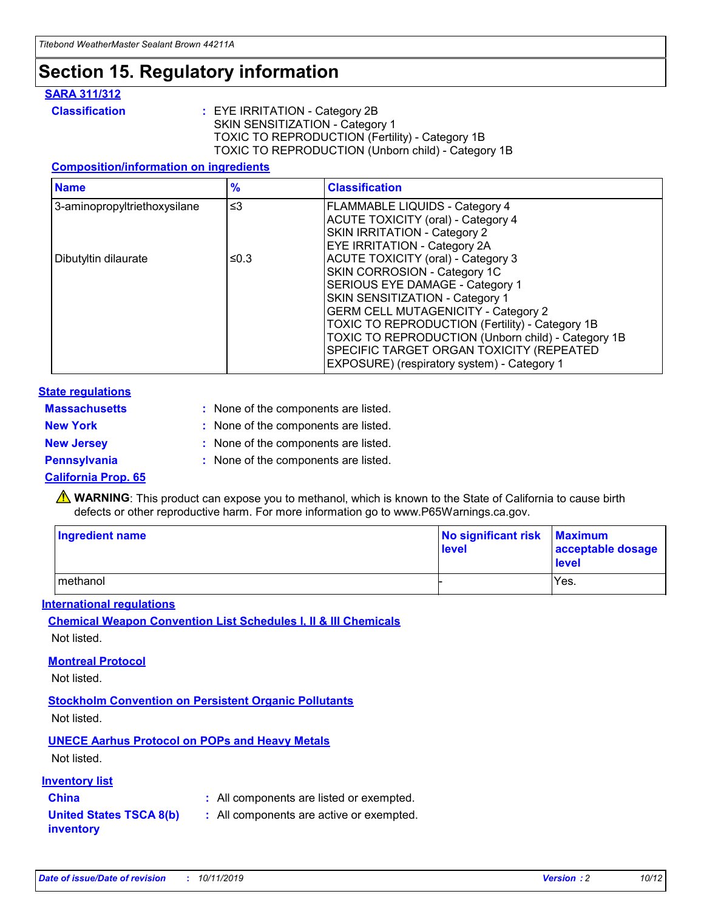## **Section 15. Regulatory information**

### **SARA 311/312**

**Classification :** EYE IRRITATION - Category 2B SKIN SENSITIZATION - Category 1 TOXIC TO REPRODUCTION (Fertility) - Category 1B TOXIC TO REPRODUCTION (Unborn child) - Category 1B

#### **Composition/information on ingredients**

| <b>Name</b>                  | $\frac{9}{6}$ | <b>Classification</b>                                                                                            |
|------------------------------|---------------|------------------------------------------------------------------------------------------------------------------|
| 3-aminopropyltriethoxysilane | $\leq$ 3      | <b>FLAMMABLE LIQUIDS - Category 4</b><br><b>ACUTE TOXICITY (oral) - Category 4</b>                               |
|                              |               | SKIN IRRITATION - Category 2<br>EYE IRRITATION - Category 2A                                                     |
| Dibutyltin dilaurate         | ≤0.3          | ACUTE TOXICITY (oral) - Category 3<br>SKIN CORROSION - Category 1C                                               |
|                              |               | SERIOUS EYE DAMAGE - Category 1<br>SKIN SENSITIZATION - Category 1<br><b>GERM CELL MUTAGENICITY - Category 2</b> |
|                              |               | TOXIC TO REPRODUCTION (Fertility) - Category 1B<br>TOXIC TO REPRODUCTION (Unborn child) - Category 1B            |
|                              |               | SPECIFIC TARGET ORGAN TOXICITY (REPEATED<br>EXPOSURE) (respiratory system) - Category 1                          |

#### **State regulations**

| <b>Massachusetts</b> | : None of the components are listed. |
|----------------------|--------------------------------------|
| <b>New York</b>      | : None of the components are listed. |
| <b>New Jersey</b>    | : None of the components are listed. |
| <b>Pennsylvania</b>  | : None of the components are listed. |

#### **California Prop. 65**

**A** WARNING: This product can expose you to methanol, which is known to the State of California to cause birth defects or other reproductive harm. For more information go to www.P65Warnings.ca.gov.

| <b>Ingredient name</b> | No significant risk Maximum<br>level | acceptable dosage<br>level |
|------------------------|--------------------------------------|----------------------------|
| methanol               |                                      | Yes.                       |

#### **International regulations**

**Chemical Weapon Convention List Schedules I, II & III Chemicals** Not listed.

#### **Montreal Protocol**

Not listed.

**Stockholm Convention on Persistent Organic Pollutants**

Not listed.

### **UNECE Aarhus Protocol on POPs and Heavy Metals**

Not listed.

### **Inventory list**

### **China :** All components are listed or exempted.

**United States TSCA 8(b) inventory :** All components are active or exempted.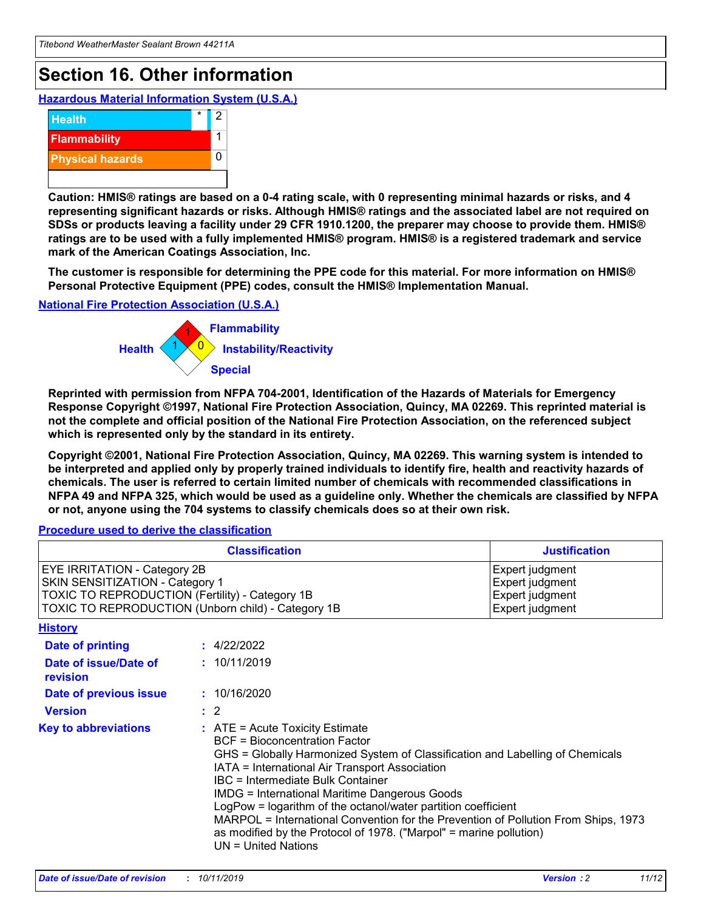## **Section 16. Other information**

**Hazardous Material Information System (U.S.A.)**



**Caution: HMIS® ratings are based on a 0-4 rating scale, with 0 representing minimal hazards or risks, and 4 representing significant hazards or risks. Although HMIS® ratings and the associated label are not required on SDSs or products leaving a facility under 29 CFR 1910.1200, the preparer may choose to provide them. HMIS® ratings are to be used with a fully implemented HMIS® program. HMIS® is a registered trademark and service mark of the American Coatings Association, Inc.**

**The customer is responsible for determining the PPE code for this material. For more information on HMIS® Personal Protective Equipment (PPE) codes, consult the HMIS® Implementation Manual.**

#### **National Fire Protection Association (U.S.A.)**



**Reprinted with permission from NFPA 704-2001, Identification of the Hazards of Materials for Emergency Response Copyright ©1997, National Fire Protection Association, Quincy, MA 02269. This reprinted material is not the complete and official position of the National Fire Protection Association, on the referenced subject which is represented only by the standard in its entirety.**

**Copyright ©2001, National Fire Protection Association, Quincy, MA 02269. This warning system is intended to be interpreted and applied only by properly trained individuals to identify fire, health and reactivity hazards of chemicals. The user is referred to certain limited number of chemicals with recommended classifications in NFPA 49 and NFPA 325, which would be used as a guideline only. Whether the chemicals are classified by NFPA or not, anyone using the 704 systems to classify chemicals does so at their own risk.**

**Procedure used to derive the classification**

| <b>Classification</b>                                                                                                                                                    |                                                                                                                                                  | <b>Justification</b>                                                                                                                                                                                                                                                                                                                                                                                                 |  |
|--------------------------------------------------------------------------------------------------------------------------------------------------------------------------|--------------------------------------------------------------------------------------------------------------------------------------------------|----------------------------------------------------------------------------------------------------------------------------------------------------------------------------------------------------------------------------------------------------------------------------------------------------------------------------------------------------------------------------------------------------------------------|--|
| EYE IRRITATION - Category 2B<br>SKIN SENSITIZATION - Category 1<br>TOXIC TO REPRODUCTION (Fertility) - Category 1B<br>TOXIC TO REPRODUCTION (Unborn child) - Category 1B |                                                                                                                                                  | Expert judgment<br>Expert judgment<br>Expert judgment<br>Expert judgment                                                                                                                                                                                                                                                                                                                                             |  |
| <b>History</b>                                                                                                                                                           |                                                                                                                                                  |                                                                                                                                                                                                                                                                                                                                                                                                                      |  |
| Date of printing                                                                                                                                                         | : 4/22/2022                                                                                                                                      |                                                                                                                                                                                                                                                                                                                                                                                                                      |  |
| Date of issue/Date of<br>revision                                                                                                                                        | : 10/11/2019                                                                                                                                     |                                                                                                                                                                                                                                                                                                                                                                                                                      |  |
| Date of previous issue                                                                                                                                                   | : 10/16/2020                                                                                                                                     |                                                                                                                                                                                                                                                                                                                                                                                                                      |  |
| <b>Version</b>                                                                                                                                                           | $\therefore$ 2                                                                                                                                   |                                                                                                                                                                                                                                                                                                                                                                                                                      |  |
| <b>Key to abbreviations</b>                                                                                                                                              | $\therefore$ ATE = Acute Toxicity Estimate<br><b>BCF</b> = Bioconcentration Factor<br>IBC = Intermediate Bulk Container<br>$UN = United Nations$ | GHS = Globally Harmonized System of Classification and Labelling of Chemicals<br>IATA = International Air Transport Association<br><b>IMDG = International Maritime Dangerous Goods</b><br>LogPow = logarithm of the octanol/water partition coefficient<br>MARPOL = International Convention for the Prevention of Pollution From Ships, 1973<br>as modified by the Protocol of 1978. ("Marpol" = marine pollution) |  |